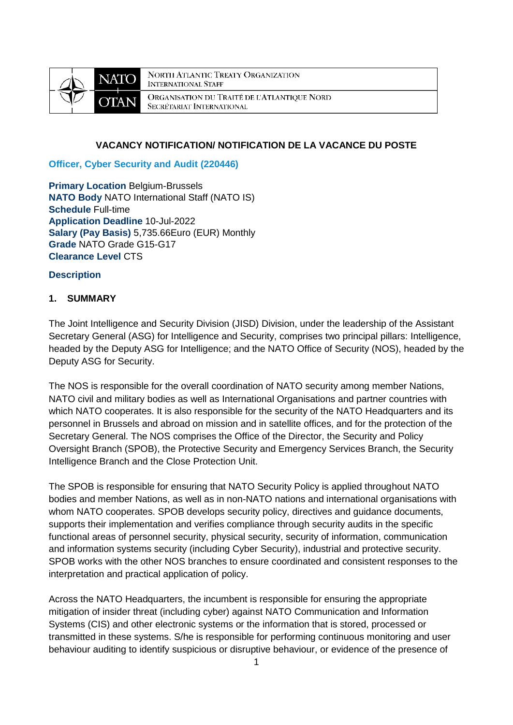

**NORTH ATLANTIC TREATY ORGANIZATION INTERNATIONAL STAFF** ORGANISATION DU TRAITÉ DE L'ATLANTIQUE NORD SECRÉTARIAT INTERNATIONAL

#### **VACANCY NOTIFICATION/ NOTIFICATION DE LA VACANCE DU POSTE**

**Officer, Cyber Security and Audit (220446)**

**Primary Location Belgium-Brussels NATO Body** NATO International Staff (NATO IS) **Schedule** Full-time **Application Deadline** 10-Jul-2022 **Salary (Pay Basis)** 5,735.66Euro (EUR) Monthly **Grade** NATO Grade G15-G17 **Clearance Level** CTS

#### **Description**

#### **1. SUMMARY**

The Joint Intelligence and Security Division (JISD) Division, under the leadership of the Assistant Secretary General (ASG) for Intelligence and Security, comprises two principal pillars: Intelligence, headed by the Deputy ASG for Intelligence; and the NATO Office of Security (NOS), headed by the Deputy ASG for Security.

The NOS is responsible for the overall coordination of NATO security among member Nations, NATO civil and military bodies as well as International Organisations and partner countries with which NATO cooperates. It is also responsible for the security of the NATO Headquarters and its personnel in Brussels and abroad on mission and in satellite offices, and for the protection of the Secretary General. The NOS comprises the Office of the Director, the Security and Policy Oversight Branch (SPOB), the Protective Security and Emergency Services Branch, the Security Intelligence Branch and the Close Protection Unit.

The SPOB is responsible for ensuring that NATO Security Policy is applied throughout NATO bodies and member Nations, as well as in non-NATO nations and international organisations with whom NATO cooperates. SPOB develops security policy, directives and guidance documents, supports their implementation and verifies compliance through security audits in the specific functional areas of personnel security, physical security, security of information, communication and information systems security (including Cyber Security), industrial and protective security. SPOB works with the other NOS branches to ensure coordinated and consistent responses to the interpretation and practical application of policy.

Across the NATO Headquarters, the incumbent is responsible for ensuring the appropriate mitigation of insider threat (including cyber) against NATO Communication and Information Systems (CIS) and other electronic systems or the information that is stored, processed or transmitted in these systems. S/he is responsible for performing continuous monitoring and user behaviour auditing to identify suspicious or disruptive behaviour, or evidence of the presence of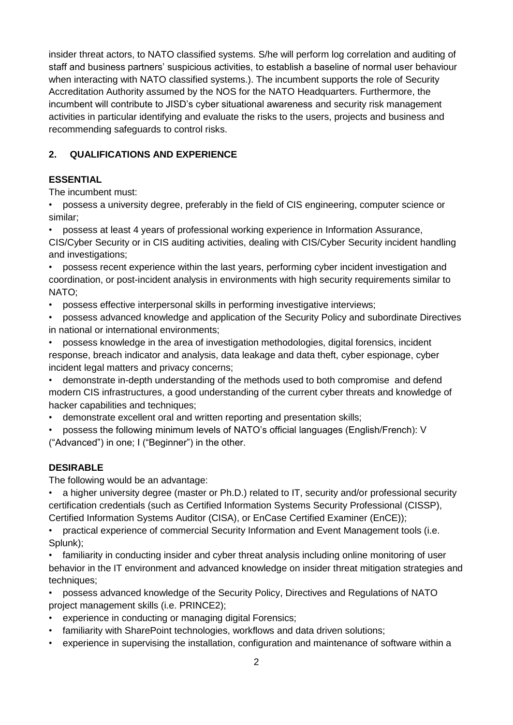insider threat actors, to NATO classified systems. S/he will perform log correlation and auditing of staff and business partners' suspicious activities, to establish a baseline of normal user behaviour when interacting with NATO classified systems.). The incumbent supports the role of Security Accreditation Authority assumed by the NOS for the NATO Headquarters. Furthermore, the incumbent will contribute to JISD's cyber situational awareness and security risk management activities in particular identifying and evaluate the risks to the users, projects and business and recommending safeguards to control risks.

# **2. QUALIFICATIONS AND EXPERIENCE**

## **ESSENTIAL**

The incumbent must:

• possess a university degree, preferably in the field of CIS engineering, computer science or similar;

• possess at least 4 years of professional working experience in Information Assurance, CIS/Cyber Security or in CIS auditing activities, dealing with CIS/Cyber Security incident handling and investigations;

• possess recent experience within the last years, performing cyber incident investigation and coordination, or post-incident analysis in environments with high security requirements similar to NATO;

- possess effective interpersonal skills in performing investigative interviews;
- possess advanced knowledge and application of the Security Policy and subordinate Directives in national or international environments;
- possess knowledge in the area of investigation methodologies, digital forensics, incident response, breach indicator and analysis, data leakage and data theft, cyber espionage, cyber incident legal matters and privacy concerns;

• demonstrate in-depth understanding of the methods used to both compromise and defend modern CIS infrastructures, a good understanding of the current cyber threats and knowledge of hacker capabilities and techniques;

• demonstrate excellent oral and written reporting and presentation skills;

• possess the following minimum levels of NATO's official languages (English/French): V ("Advanced") in one; I ("Beginner") in the other.

## **DESIRABLE**

The following would be an advantage:

• a higher university degree (master or Ph.D.) related to IT, security and/or professional security certification credentials (such as Certified Information Systems Security Professional (CISSP), Certified Information Systems Auditor (CISA), or EnCase Certified Examiner (EnCE));

• practical experience of commercial Security Information and Event Management tools (i.e. Splunk);

• familiarity in conducting insider and cyber threat analysis including online monitoring of user behavior in the IT environment and advanced knowledge on insider threat mitigation strategies and techniques;

• possess advanced knowledge of the Security Policy, Directives and Regulations of NATO project management skills (i.e. PRINCE2);

- experience in conducting or managing digital Forensics;
- familiarity with SharePoint technologies, workflows and data driven solutions;
- experience in supervising the installation, configuration and maintenance of software within a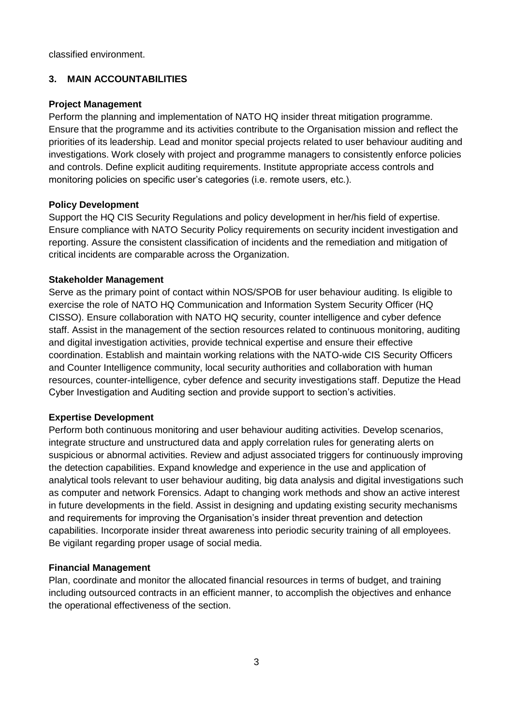classified environment.

## **3. MAIN ACCOUNTABILITIES**

#### **Project Management**

Perform the planning and implementation of NATO HQ insider threat mitigation programme. Ensure that the programme and its activities contribute to the Organisation mission and reflect the priorities of its leadership. Lead and monitor special projects related to user behaviour auditing and investigations. Work closely with project and programme managers to consistently enforce policies and controls. Define explicit auditing requirements. Institute appropriate access controls and monitoring policies on specific user's categories (i.e. remote users, etc.).

#### **Policy Development**

Support the HQ CIS Security Regulations and policy development in her/his field of expertise. Ensure compliance with NATO Security Policy requirements on security incident investigation and reporting. Assure the consistent classification of incidents and the remediation and mitigation of critical incidents are comparable across the Organization.

#### **Stakeholder Management**

Serve as the primary point of contact within NOS/SPOB for user behaviour auditing. Is eligible to exercise the role of NATO HQ Communication and Information System Security Officer (HQ CISSO). Ensure collaboration with NATO HQ security, counter intelligence and cyber defence staff. Assist in the management of the section resources related to continuous monitoring, auditing and digital investigation activities, provide technical expertise and ensure their effective coordination. Establish and maintain working relations with the NATO-wide CIS Security Officers and Counter Intelligence community, local security authorities and collaboration with human resources, counter-intelligence, cyber defence and security investigations staff. Deputize the Head Cyber Investigation and Auditing section and provide support to section's activities.

#### **Expertise Development**

Perform both continuous monitoring and user behaviour auditing activities. Develop scenarios, integrate structure and unstructured data and apply correlation rules for generating alerts on suspicious or abnormal activities. Review and adjust associated triggers for continuously improving the detection capabilities. Expand knowledge and experience in the use and application of analytical tools relevant to user behaviour auditing, big data analysis and digital investigations such as computer and network Forensics. Adapt to changing work methods and show an active interest in future developments in the field. Assist in designing and updating existing security mechanisms and requirements for improving the Organisation's insider threat prevention and detection capabilities. Incorporate insider threat awareness into periodic security training of all employees. Be vigilant regarding proper usage of social media.

#### **Financial Management**

Plan, coordinate and monitor the allocated financial resources in terms of budget, and training including outsourced contracts in an efficient manner, to accomplish the objectives and enhance the operational effectiveness of the section.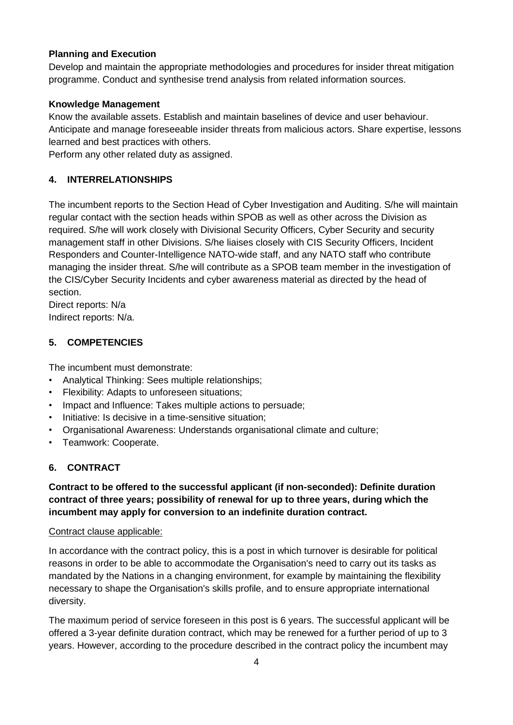## **Planning and Execution**

Develop and maintain the appropriate methodologies and procedures for insider threat mitigation programme. Conduct and synthesise trend analysis from related information sources.

## **Knowledge Management**

Know the available assets. Establish and maintain baselines of device and user behaviour. Anticipate and manage foreseeable insider threats from malicious actors. Share expertise, lessons learned and best practices with others.

Perform any other related duty as assigned.

## **4. INTERRELATIONSHIPS**

The incumbent reports to the Section Head of Cyber Investigation and Auditing. S/he will maintain regular contact with the section heads within SPOB as well as other across the Division as required. S/he will work closely with Divisional Security Officers, Cyber Security and security management staff in other Divisions. S/he liaises closely with CIS Security Officers, Incident Responders and Counter-Intelligence NATO-wide staff, and any NATO staff who contribute managing the insider threat. S/he will contribute as a SPOB team member in the investigation of the CIS/Cyber Security Incidents and cyber awareness material as directed by the head of section.

Direct reports: N/a Indirect reports: N/a.

## **5. COMPETENCIES**

The incumbent must demonstrate:

- Analytical Thinking: Sees multiple relationships;
- Flexibility: Adapts to unforeseen situations;
- Impact and Influence: Takes multiple actions to persuade;
- Initiative: Is decisive in a time-sensitive situation;
- Organisational Awareness: Understands organisational climate and culture;
- Teamwork: Cooperate.

## **6. CONTRACT**

## **Contract to be offered to the successful applicant (if non-seconded): Definite duration contract of three years; possibility of renewal for up to three years, during which the incumbent may apply for conversion to an indefinite duration contract.**

#### Contract clause applicable:

In accordance with the contract policy, this is a post in which turnover is desirable for political reasons in order to be able to accommodate the Organisation's need to carry out its tasks as mandated by the Nations in a changing environment, for example by maintaining the flexibility necessary to shape the Organisation's skills profile, and to ensure appropriate international diversity.

The maximum period of service foreseen in this post is 6 years. The successful applicant will be offered a 3-year definite duration contract, which may be renewed for a further period of up to 3 years. However, according to the procedure described in the contract policy the incumbent may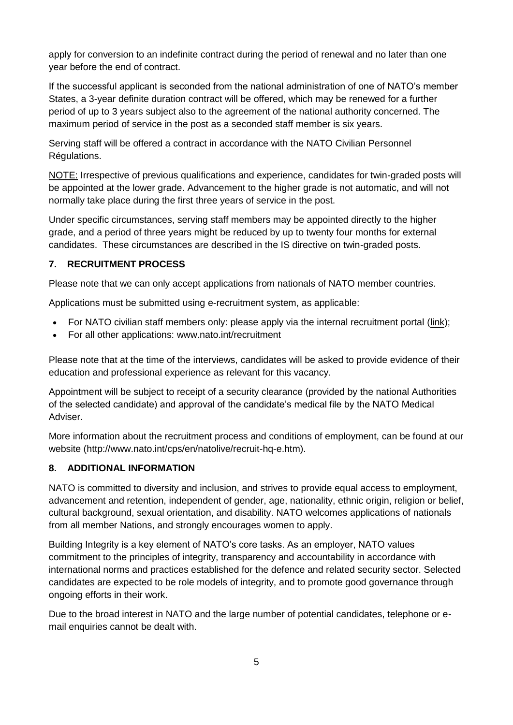apply for conversion to an indefinite contract during the period of renewal and no later than one year before the end of contract.

If the successful applicant is seconded from the national administration of one of NATO's member States, a 3-year definite duration contract will be offered, which may be renewed for a further period of up to 3 years subject also to the agreement of the national authority concerned. The maximum period of service in the post as a seconded staff member is six years.

Serving staff will be offered a contract in accordance with the NATO Civilian Personnel Régulations.

NOTE: Irrespective of previous qualifications and experience, candidates for twin-graded posts will be appointed at the lower grade. Advancement to the higher grade is not automatic, and will not normally take place during the first three years of service in the post.

Under specific circumstances, serving staff members may be appointed directly to the higher grade, and a period of three years might be reduced by up to twenty four months for external candidates. These circumstances are described in the IS directive on twin-graded posts.

# **7. RECRUITMENT PROCESS**

Please note that we can only accept applications from nationals of NATO member countries.

Applications must be submitted using e-recruitment system, as applicable:

- For NATO civilian staff members only: please apply via the internal recruitment portal [\(link\)](https://nato.taleo.net/careersection/1/jobsearch.ftl?lang=en);
- For all other applications: www.nato.int/recruitment

Please note that at the time of the interviews, candidates will be asked to provide evidence of their education and professional experience as relevant for this vacancy.

Appointment will be subject to receipt of a security clearance (provided by the national Authorities of the selected candidate) and approval of the candidate's medical file by the NATO Medical Adviser.

More information about the recruitment process and conditions of employment, can be found at our website (http://www.nato.int/cps/en/natolive/recruit-hq-e.htm).

## **8. ADDITIONAL INFORMATION**

NATO is committed to diversity and inclusion, and strives to provide equal access to employment, advancement and retention, independent of gender, age, nationality, ethnic origin, religion or belief, cultural background, sexual orientation, and disability. NATO welcomes applications of nationals from all member Nations, and strongly encourages women to apply.

Building Integrity is a key element of NATO's core tasks. As an employer, NATO values commitment to the principles of integrity, transparency and accountability in accordance with international norms and practices established for the defence and related security sector. Selected candidates are expected to be role models of integrity, and to promote good governance through ongoing efforts in their work.

Due to the broad interest in NATO and the large number of potential candidates, telephone or email enquiries cannot be dealt with.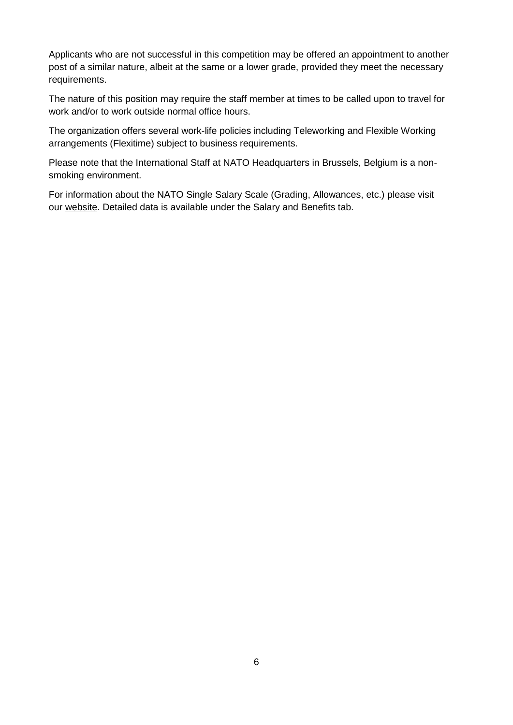Applicants who are not successful in this competition may be offered an appointment to another post of a similar nature, albeit at the same or a lower grade, provided they meet the necessary requirements.

The nature of this position may require the staff member at times to be called upon to travel for work and/or to work outside normal office hours.

The organization offers several work-life policies including Teleworking and Flexible Working arrangements (Flexitime) subject to business requirements.

Please note that the International Staff at NATO Headquarters in Brussels, Belgium is a nonsmoking environment.

For information about the NATO Single Salary Scale (Grading, Allowances, etc.) please visit our [website.](https://www.nato.int/cps/en/natolive/86790.htm) Detailed data is available under the Salary and Benefits tab.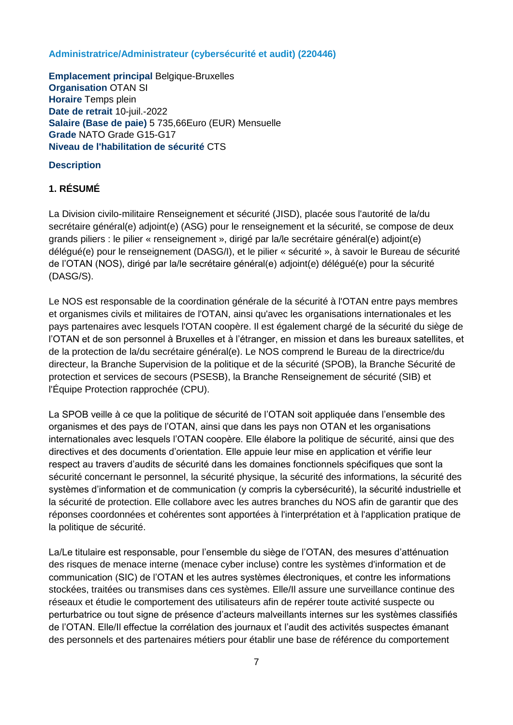#### **Administratrice/Administrateur (cybersécurité et audit) (220446)**

**Emplacement principal** Belgique-Bruxelles **Organisation** OTAN SI **Horaire** Temps plein **Date de retrait** 10-juil.-2022 **Salaire (Base de paie)** 5 735,66Euro (EUR) Mensuelle **Grade** NATO Grade G15-G17 **Niveau de l'habilitation de sécurité** CTS

## **Description**

## **1. RÉSUMÉ**

La Division civilo-militaire Renseignement et sécurité (JISD), placée sous l'autorité de la/du secrétaire général(e) adjoint(e) (ASG) pour le renseignement et la sécurité, se compose de deux grands piliers : le pilier « renseignement », dirigé par la/le secrétaire général(e) adjoint(e) délégué(e) pour le renseignement (DASG/I), et le pilier « sécurité », à savoir le Bureau de sécurité de l'OTAN (NOS), dirigé par la/le secrétaire général(e) adjoint(e) délégué(e) pour la sécurité (DASG/S).

Le NOS est responsable de la coordination générale de la sécurité à l'OTAN entre pays membres et organismes civils et militaires de l'OTAN, ainsi qu'avec les organisations internationales et les pays partenaires avec lesquels l'OTAN coopère. Il est également chargé de la sécurité du siège de l'OTAN et de son personnel à Bruxelles et à l'étranger, en mission et dans les bureaux satellites, et de la protection de la/du secrétaire général(e). Le NOS comprend le Bureau de la directrice/du directeur, la Branche Supervision de la politique et de la sécurité (SPOB), la Branche Sécurité de protection et services de secours (PSESB), la Branche Renseignement de sécurité (SIB) et l'Équipe Protection rapprochée (CPU).

La SPOB veille à ce que la politique de sécurité de l'OTAN soit appliquée dans l'ensemble des organismes et des pays de l'OTAN, ainsi que dans les pays non OTAN et les organisations internationales avec lesquels l'OTAN coopère. Elle élabore la politique de sécurité, ainsi que des directives et des documents d'orientation. Elle appuie leur mise en application et vérifie leur respect au travers d'audits de sécurité dans les domaines fonctionnels spécifiques que sont la sécurité concernant le personnel, la sécurité physique, la sécurité des informations, la sécurité des systèmes d'information et de communication (y compris la cybersécurité), la sécurité industrielle et la sécurité de protection. Elle collabore avec les autres branches du NOS afin de garantir que des réponses coordonnées et cohérentes sont apportées à l'interprétation et à l'application pratique de la politique de sécurité.

La/Le titulaire est responsable, pour l'ensemble du siège de l'OTAN, des mesures d'atténuation des risques de menace interne (menace cyber incluse) contre les systèmes d'information et de communication (SIC) de l'OTAN et les autres systèmes électroniques, et contre les informations stockées, traitées ou transmises dans ces systèmes. Elle/Il assure une surveillance continue des réseaux et étudie le comportement des utilisateurs afin de repérer toute activité suspecte ou perturbatrice ou tout signe de présence d'acteurs malveillants internes sur les systèmes classifiés de l'OTAN. Elle/Il effectue la corrélation des journaux et l'audit des activités suspectes émanant des personnels et des partenaires métiers pour établir une base de référence du comportement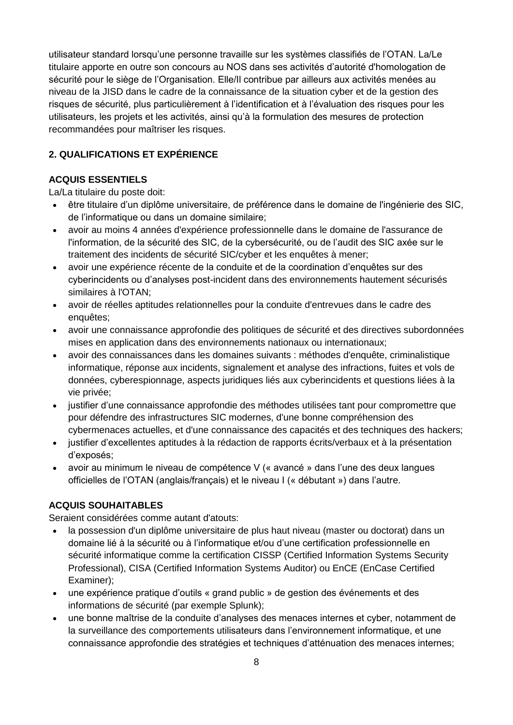utilisateur standard lorsqu'une personne travaille sur les systèmes classifiés de l'OTAN. La/Le titulaire apporte en outre son concours au NOS dans ses activités d'autorité d'homologation de sécurité pour le siège de l'Organisation. Elle/Il contribue par ailleurs aux activités menées au niveau de la JISD dans le cadre de la connaissance de la situation cyber et de la gestion des risques de sécurité, plus particulièrement à l'identification et à l'évaluation des risques pour les utilisateurs, les projets et les activités, ainsi qu'à la formulation des mesures de protection recommandées pour maîtriser les risques.

# **2. QUALIFICATIONS ET EXPÉRIENCE**

## **ACQUIS ESSENTIELS**

La/La titulaire du poste doit:

- être titulaire d'un diplôme universitaire, de préférence dans le domaine de l'ingénierie des SIC, de l'informatique ou dans un domaine similaire;
- avoir au moins 4 années d'expérience professionnelle dans le domaine de l'assurance de l'information, de la sécurité des SIC, de la cybersécurité, ou de l'audit des SIC axée sur le traitement des incidents de sécurité SIC/cyber et les enquêtes à mener;
- avoir une expérience récente de la conduite et de la coordination d'enquêtes sur des cyberincidents ou d'analyses post-incident dans des environnements hautement sécurisés similaires à l'OTAN;
- avoir de réelles aptitudes relationnelles pour la conduite d'entrevues dans le cadre des enquêtes;
- avoir une connaissance approfondie des politiques de sécurité et des directives subordonnées mises en application dans des environnements nationaux ou internationaux;
- avoir des connaissances dans les domaines suivants : méthodes d'enquête, criminalistique informatique, réponse aux incidents, signalement et analyse des infractions, fuites et vols de données, cyberespionnage, aspects juridiques liés aux cyberincidents et questions liées à la vie privée;
- justifier d'une connaissance approfondie des méthodes utilisées tant pour compromettre que pour défendre des infrastructures SIC modernes, d'une bonne compréhension des cybermenaces actuelles, et d'une connaissance des capacités et des techniques des hackers;
- justifier d'excellentes aptitudes à la rédaction de rapports écrits/verbaux et à la présentation d'exposés;
- avoir au minimum le niveau de compétence V (« avancé » dans l'une des deux langues officielles de l'OTAN (anglais/français) et le niveau I (« débutant ») dans l'autre.

## **ACQUIS SOUHAITABLES**

Seraient considérées comme autant d'atouts:

- la possession d'un diplôme universitaire de plus haut niveau (master ou doctorat) dans un domaine lié à la sécurité ou à l'informatique et/ou d'une certification professionnelle en sécurité informatique comme la certification CISSP (Certified Information Systems Security Professional), CISA (Certified Information Systems Auditor) ou EnCE (EnCase Certified Examiner);
- une expérience pratique d'outils « grand public » de gestion des événements et des informations de sécurité (par exemple Splunk);
- une bonne maîtrise de la conduite d'analyses des menaces internes et cyber, notamment de la surveillance des comportements utilisateurs dans l'environnement informatique, et une connaissance approfondie des stratégies et techniques d'atténuation des menaces internes;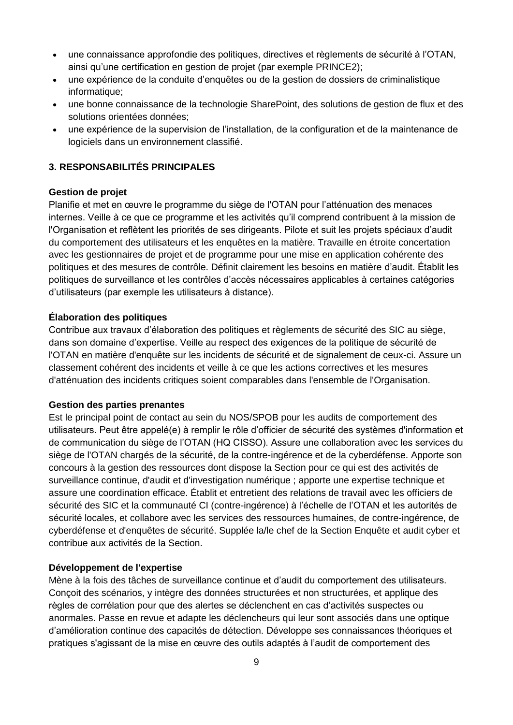- une connaissance approfondie des politiques, directives et règlements de sécurité à l'OTAN, ainsi qu'une certification en gestion de projet (par exemple PRINCE2);
- une expérience de la conduite d'enquêtes ou de la gestion de dossiers de criminalistique informatique;
- une bonne connaissance de la technologie SharePoint, des solutions de gestion de flux et des solutions orientées données;
- une expérience de la supervision de l'installation, de la configuration et de la maintenance de logiciels dans un environnement classifié.

## **3. RESPONSABILITÉS PRINCIPALES**

#### **Gestion de projet**

Planifie et met en œuvre le programme du siège de l'OTAN pour l'atténuation des menaces internes. Veille à ce que ce programme et les activités qu'il comprend contribuent à la mission de l'Organisation et reflètent les priorités de ses dirigeants. Pilote et suit les projets spéciaux d'audit du comportement des utilisateurs et les enquêtes en la matière. Travaille en étroite concertation avec les gestionnaires de projet et de programme pour une mise en application cohérente des politiques et des mesures de contrôle. Définit clairement les besoins en matière d'audit. Établit les politiques de surveillance et les contrôles d'accès nécessaires applicables à certaines catégories d'utilisateurs (par exemple les utilisateurs à distance).

#### **Élaboration des politiques**

Contribue aux travaux d'élaboration des politiques et règlements de sécurité des SIC au siège, dans son domaine d'expertise. Veille au respect des exigences de la politique de sécurité de l'OTAN en matière d'enquête sur les incidents de sécurité et de signalement de ceux-ci. Assure un classement cohérent des incidents et veille à ce que les actions correctives et les mesures d'atténuation des incidents critiques soient comparables dans l'ensemble de l'Organisation.

#### **Gestion des parties prenantes**

Est le principal point de contact au sein du NOS/SPOB pour les audits de comportement des utilisateurs. Peut être appelé(e) à remplir le rôle d'officier de sécurité des systèmes d'information et de communication du siège de l'OTAN (HQ CISSO). Assure une collaboration avec les services du siège de l'OTAN chargés de la sécurité, de la contre-ingérence et de la cyberdéfense. Apporte son concours à la gestion des ressources dont dispose la Section pour ce qui est des activités de surveillance continue, d'audit et d'investigation numérique ; apporte une expertise technique et assure une coordination efficace. Établit et entretient des relations de travail avec les officiers de sécurité des SIC et la communauté CI (contre-ingérence) à l'échelle de l'OTAN et les autorités de sécurité locales, et collabore avec les services des ressources humaines, de contre-ingérence, de cyberdéfense et d'enquêtes de sécurité. Supplée la/le chef de la Section Enquête et audit cyber et contribue aux activités de la Section.

#### **Développement de l'expertise**

Mène à la fois des tâches de surveillance continue et d'audit du comportement des utilisateurs. Conçoit des scénarios, y intègre des données structurées et non structurées, et applique des règles de corrélation pour que des alertes se déclenchent en cas d'activités suspectes ou anormales. Passe en revue et adapte les déclencheurs qui leur sont associés dans une optique d'amélioration continue des capacités de détection. Développe ses connaissances théoriques et pratiques s'agissant de la mise en œuvre des outils adaptés à l'audit de comportement des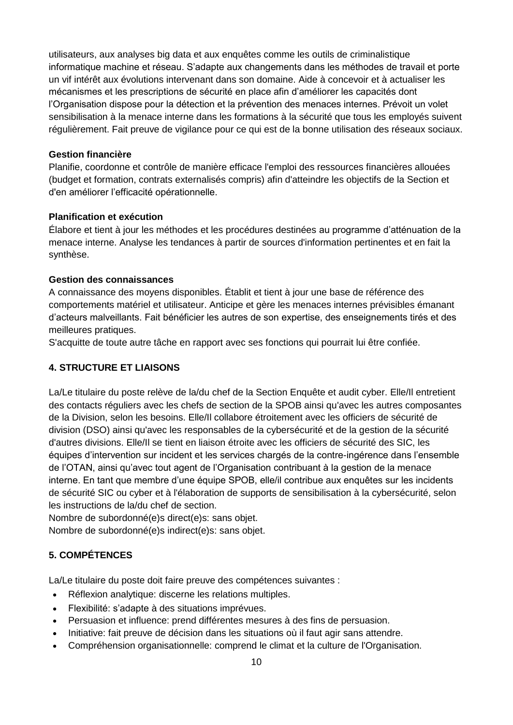utilisateurs, aux analyses big data et aux enquêtes comme les outils de criminalistique informatique machine et réseau. S'adapte aux changements dans les méthodes de travail et porte un vif intérêt aux évolutions intervenant dans son domaine. Aide à concevoir et à actualiser les mécanismes et les prescriptions de sécurité en place afin d'améliorer les capacités dont l'Organisation dispose pour la détection et la prévention des menaces internes. Prévoit un volet sensibilisation à la menace interne dans les formations à la sécurité que tous les employés suivent régulièrement. Fait preuve de vigilance pour ce qui est de la bonne utilisation des réseaux sociaux.

#### **Gestion financière**

Planifie, coordonne et contrôle de manière efficace l'emploi des ressources financières allouées (budget et formation, contrats externalisés compris) afin d'atteindre les objectifs de la Section et d'en améliorer l'efficacité opérationnelle.

#### **Planification et exécution**

Élabore et tient à jour les méthodes et les procédures destinées au programme d'atténuation de la menace interne. Analyse les tendances à partir de sources d'information pertinentes et en fait la synthèse.

#### **Gestion des connaissances**

A connaissance des moyens disponibles. Établit et tient à jour une base de référence des comportements matériel et utilisateur. Anticipe et gère les menaces internes prévisibles émanant d'acteurs malveillants. Fait bénéficier les autres de son expertise, des enseignements tirés et des meilleures pratiques.

S'acquitte de toute autre tâche en rapport avec ses fonctions qui pourrait lui être confiée.

#### **4. STRUCTURE ET LIAISONS**

La/Le titulaire du poste relève de la/du chef de la Section Enquête et audit cyber. Elle/Il entretient des contacts réguliers avec les chefs de section de la SPOB ainsi qu'avec les autres composantes de la Division, selon les besoins. Elle/Il collabore étroitement avec les officiers de sécurité de division (DSO) ainsi qu'avec les responsables de la cybersécurité et de la gestion de la sécurité d'autres divisions. Elle/Il se tient en liaison étroite avec les officiers de sécurité des SIC, les équipes d'intervention sur incident et les services chargés de la contre-ingérence dans l'ensemble de l'OTAN, ainsi qu'avec tout agent de l'Organisation contribuant à la gestion de la menace interne. En tant que membre d'une équipe SPOB, elle/il contribue aux enquêtes sur les incidents de sécurité SIC ou cyber et à l'élaboration de supports de sensibilisation à la cybersécurité, selon les instructions de la/du chef de section.

Nombre de subordonné(e)s direct(e)s: sans objet. Nombre de subordonné(e)s indirect(e)s: sans objet.

## **5. COMPÉTENCES**

La/Le titulaire du poste doit faire preuve des compétences suivantes :

- Réflexion analytique: discerne les relations multiples.
- Flexibilité: s'adapte à des situations imprévues.
- Persuasion et influence: prend différentes mesures à des fins de persuasion.
- Initiative: fait preuve de décision dans les situations où il faut agir sans attendre.
- Compréhension organisationnelle: comprend le climat et la culture de l'Organisation.